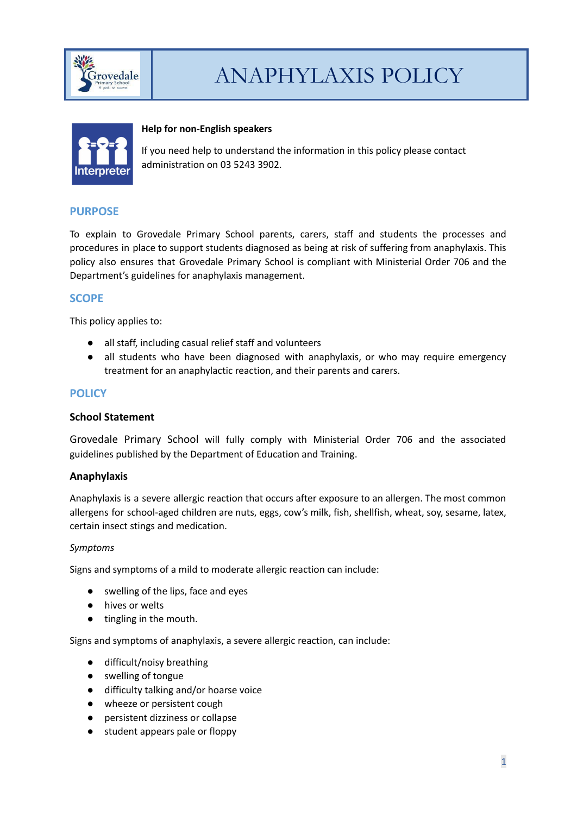

# ANAPHYLAXIS POLICY



#### **Help for non-English speakers**

If you need help to understand the information in this policy please contact administration on 03 5243 3902.

### **PURPOSE**

To explain to Grovedale Primary School parents, carers, staff and students the processes and procedures in place to support students diagnosed as being at risk of suffering from anaphylaxis. This policy also ensures that Grovedale Primary School is compliant with Ministerial Order 706 and the Department's guidelines for anaphylaxis management.

### **SCOPE**

This policy applies to:

- all staff, including casual relief staff and volunteers
- all students who have been diagnosed with anaphylaxis, or who may require emergency treatment for an anaphylactic reaction, and their parents and carers.

## **POLICY**

#### **School Statement**

Grovedale Primary School will fully comply with Ministerial Order 706 and the associated guidelines published by the Department of Education and Training.

#### **Anaphylaxis**

Anaphylaxis is a severe allergic reaction that occurs after exposure to an allergen. The most common allergens for school-aged children are nuts, eggs, cow's milk, fish, shellfish, wheat, soy, sesame, latex, certain insect stings and medication.

#### *Symptoms*

Signs and symptoms of a mild to moderate allergic reaction can include:

- *●* swelling of the lips, face and eyes
- *●* hives or welts
- *●* tingling in the mouth.

Signs and symptoms of anaphylaxis, a severe allergic reaction, can include:

- difficult/noisy breathing
- swelling of tongue
- difficulty talking and/or hoarse voice
- wheeze or persistent cough
- persistent dizziness or collapse
- student appears pale or floppy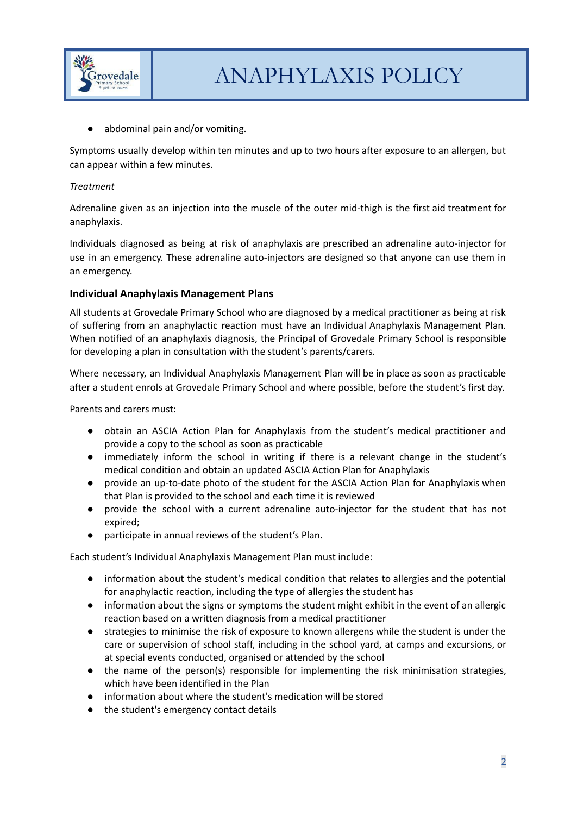

abdominal pain and/or vomiting.

Symptoms usually develop within ten minutes and up to two hours after exposure to an allergen, but can appear within a few minutes.

#### *Treatment*

Adrenaline given as an injection into the muscle of the outer mid-thigh is the first aid treatment for anaphylaxis.

Individuals diagnosed as being at risk of anaphylaxis are prescribed an adrenaline auto-injector for use in an emergency. These adrenaline auto-injectors are designed so that anyone can use them in an emergency.

## **Individual Anaphylaxis Management Plans**

All students at Grovedale Primary School who are diagnosed by a medical practitioner as being at risk of suffering from an anaphylactic reaction must have an Individual Anaphylaxis Management Plan. When notified of an anaphylaxis diagnosis, the Principal of Grovedale Primary School is responsible for developing a plan in consultation with the student's parents/carers.

Where necessary, an Individual Anaphylaxis Management Plan will be in place as soon as practicable after a student enrols at Grovedale Primary School and where possible, before the student's first day.

Parents and carers must:

- obtain an ASCIA Action Plan for Anaphylaxis from the student's medical practitioner and provide a copy to the school as soon as practicable
- immediately inform the school in writing if there is a relevant change in the student's medical condition and obtain an updated ASCIA Action Plan for Anaphylaxis
- provide an up-to-date photo of the student for the ASCIA Action Plan for Anaphylaxis when that Plan is provided to the school and each time it is reviewed
- provide the school with a current adrenaline auto-injector for the student that has not expired;
- participate in annual reviews of the student's Plan.

Each student's Individual Anaphylaxis Management Plan must include:

- information about the student's medical condition that relates to allergies and the potential for anaphylactic reaction, including the type of allergies the student has
- information about the signs or symptoms the student might exhibit in the event of an allergic reaction based on a written diagnosis from a medical practitioner
- strategies to minimise the risk of exposure to known allergens while the student is under the care or supervision of school staff, including in the school yard, at camps and excursions, or at special events conducted, organised or attended by the school
- the name of the person(s) responsible for implementing the risk minimisation strategies, which have been identified in the Plan
- information about where the student's medication will be stored
- the student's emergency contact details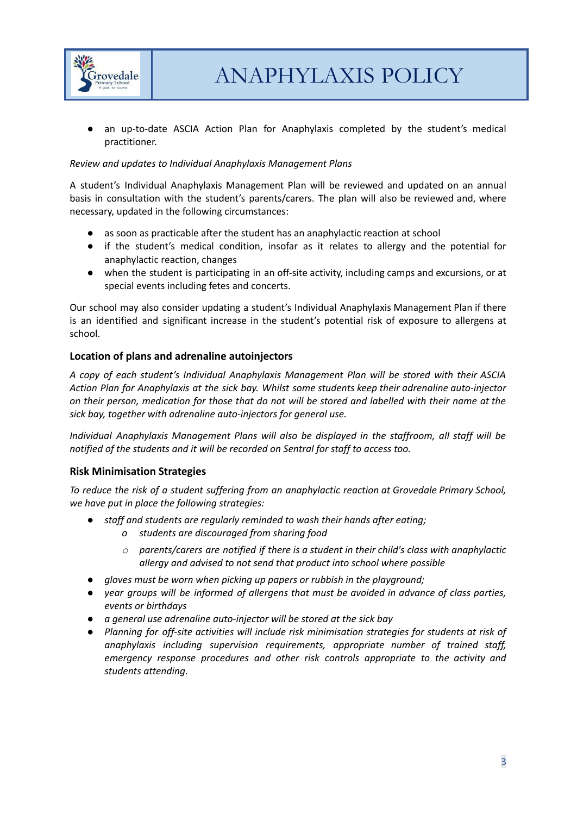

an up-to-date ASCIA Action Plan for Anaphylaxis completed by the student's medical practitioner.

#### *Review and updates to Individual Anaphylaxis Management Plans*

A student's Individual Anaphylaxis Management Plan will be reviewed and updated on an annual basis in consultation with the student's parents/carers. The plan will also be reviewed and, where necessary, updated in the following circumstances:

- as soon as practicable after the student has an anaphylactic reaction at school
- if the student's medical condition, insofar as it relates to allergy and the potential for anaphylactic reaction, changes
- when the student is participating in an off-site activity, including camps and excursions, or at special events including fetes and concerts.

Our school may also consider updating a student's Individual Anaphylaxis Management Plan if there is an identified and significant increase in the student's potential risk of exposure to allergens at school.

#### **Location of plans and adrenaline autoinjectors**

*A copy of each student's Individual Anaphylaxis Management Plan will be stored with their ASCIA Action Plan for Anaphylaxis at the sick bay. Whilst some students keep their adrenaline auto-injector* on their person, medication for those that do not will be stored and labelled with their name at the *sick bay, together with adrenaline auto-injectors for general use.*

*Individual Anaphylaxis Management Plans will also be displayed in the staffroom, all staff will be notified of the students and it will be recorded on Sentral for staff to access too.*

#### **Risk Minimisation Strategies**

*To reduce the risk of a student suffering from an anaphylactic reaction at Grovedale Primary School, we have put in place the following strategies:*

- *● staff and students are regularly reminded to wash their hands after eating;*
	- *o students are discouraged from sharing food*
	- *o parents/carers are notified if there is a student in their child's class with anaphylactic allergy and advised to not send that product into school where possible*
- *● gloves must be worn when picking up papers or rubbish in the playground;*
- *● year groups will be informed of allergens that must be avoided in advance of class parties, events or birthdays*
- *● a general use adrenaline auto-injector will be stored at the sick bay*
- *● Planning for off-site activities will include risk minimisation strategies for students at risk of anaphylaxis including supervision requirements, appropriate number of trained staff, emergency response procedures and other risk controls appropriate to the activity and students attending.*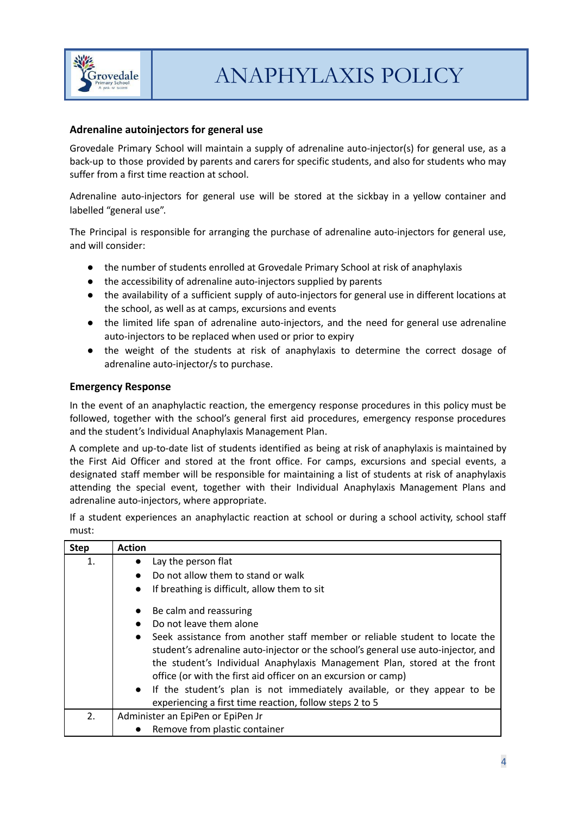

## **Adrenaline autoinjectors for general use**

Grovedale Primary School will maintain a supply of adrenaline auto-injector(s) for general use, as a back-up to those provided by parents and carers for specific students, and also for students who may suffer from a first time reaction at school.

Adrenaline auto-injectors for general use will be stored at the sickbay in a yellow container and labelled "general use".

The Principal is responsible for arranging the purchase of adrenaline auto-injectors for general use, and will consider:

- the number of students enrolled at Grovedale Primary School at risk of anaphylaxis
- the accessibility of adrenaline auto-injectors supplied by parents
- the availability of a sufficient supply of auto-injectors for general use in different locations at the school, as well as at camps, excursions and events
- the limited life span of adrenaline auto-injectors, and the need for general use adrenaline auto-injectors to be replaced when used or prior to expiry
- the weight of the students at risk of anaphylaxis to determine the correct dosage of adrenaline auto-injector/s to purchase.

#### **Emergency Response**

In the event of an anaphylactic reaction, the emergency response procedures in this policy must be followed, together with the school's general first aid procedures, emergency response procedures and the student's Individual Anaphylaxis Management Plan.

A complete and up-to-date list of students identified as being at risk of anaphylaxis is maintained by the First Aid Officer and stored at the front office. For camps, excursions and special events, a designated staff member will be responsible for maintaining a list of students at risk of anaphylaxis attending the special event, together with their Individual Anaphylaxis Management Plans and adrenaline auto-injectors, where appropriate.

If a student experiences an anaphylactic reaction at school or during a school activity, school staff must:

| <b>Step</b> | <b>Action</b>                                                                            |
|-------------|------------------------------------------------------------------------------------------|
| 1.          | Lay the person flat<br>$\bullet$                                                         |
|             | Do not allow them to stand or walk<br>$\bullet$                                          |
|             | If breathing is difficult, allow them to sit<br>$\bullet$                                |
|             | Be calm and reassuring<br>$\bullet$                                                      |
|             | Do not leave them alone<br>$\bullet$                                                     |
|             | Seek assistance from another staff member or reliable student to locate the<br>$\bullet$ |
|             | student's adrenaline auto-injector or the school's general use auto-injector, and        |
|             | the student's Individual Anaphylaxis Management Plan, stored at the front                |
|             | office (or with the first aid officer on an excursion or camp)                           |
|             | • If the student's plan is not immediately available, or they appear to be               |
|             | experiencing a first time reaction, follow steps 2 to 5                                  |
| 2.          | Administer an EpiPen or EpiPen Jr                                                        |
|             | Remove from plastic container<br>$\bullet$                                               |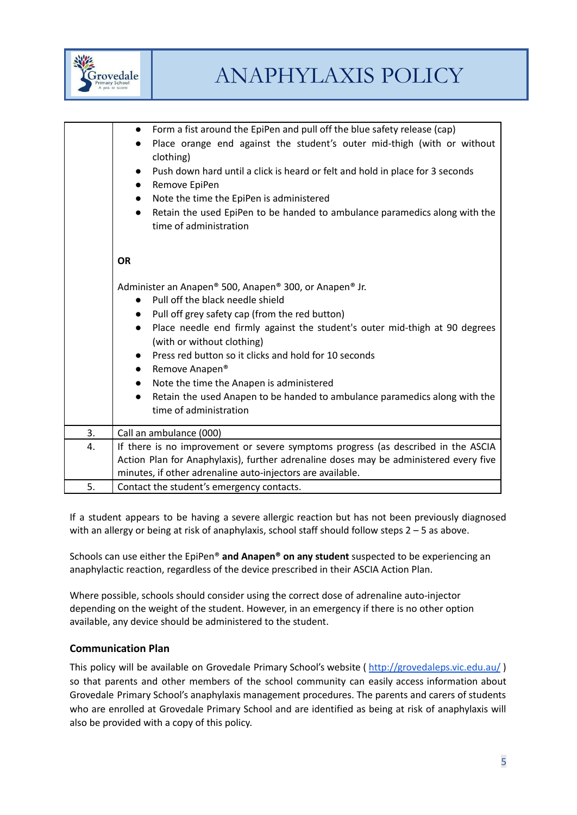

|    | Form a fist around the EpiPen and pull off the blue safety release (cap)<br>$\bullet$<br>Place orange end against the student's outer mid-thigh (with or without<br>$\bullet$<br>clothing)<br>Push down hard until a click is heard or felt and hold in place for 3 seconds<br>$\bullet$<br>Remove EpiPen<br>$\bullet$<br>Note the time the EpiPen is administered<br>$\bullet$<br>Retain the used EpiPen to be handed to ambulance paramedics along with the<br>$\bullet$<br>time of administration                                                                   |
|----|------------------------------------------------------------------------------------------------------------------------------------------------------------------------------------------------------------------------------------------------------------------------------------------------------------------------------------------------------------------------------------------------------------------------------------------------------------------------------------------------------------------------------------------------------------------------|
|    | <b>OR</b>                                                                                                                                                                                                                                                                                                                                                                                                                                                                                                                                                              |
|    | Administer an Anapen® 500, Anapen® 300, or Anapen® Jr.<br>Pull off the black needle shield<br>$\bullet$<br>Pull off grey safety cap (from the red button)<br>$\bullet$<br>Place needle end firmly against the student's outer mid-thigh at 90 degrees<br>$\bullet$<br>(with or without clothing)<br>Press red button so it clicks and hold for 10 seconds<br>$\bullet$<br>Remove Anapen®<br>Note the time the Anapen is administered<br>$\bullet$<br>Retain the used Anapen to be handed to ambulance paramedics along with the<br>$\bullet$<br>time of administration |
| 3. | Call an ambulance (000)                                                                                                                                                                                                                                                                                                                                                                                                                                                                                                                                                |
| 4. | If there is no improvement or severe symptoms progress (as described in the ASCIA<br>Action Plan for Anaphylaxis), further adrenaline doses may be administered every five<br>minutes, if other adrenaline auto-injectors are available.                                                                                                                                                                                                                                                                                                                               |
| 5. | Contact the student's emergency contacts.                                                                                                                                                                                                                                                                                                                                                                                                                                                                                                                              |

If a student appears to be having a severe allergic reaction but has not been previously diagnosed with an allergy or being at risk of anaphylaxis, school staff should follow steps 2 - 5 as above.

Schools can use either the EpiPen® **and Anapen® on any student** suspected to be experiencing an anaphylactic reaction, regardless of the device prescribed in their ASCIA Action Plan.

Where possible, schools should consider using the correct dose of adrenaline auto-injector depending on the weight of the student. However, in an emergency if there is no other option available, any device should be administered to the student.

## **Communication Plan**

This policy will be available on Grovedale Primary School's website ( <http://grovedaleps.vic.edu.au/> ) so that parents and other members of the school community can easily access information about Grovedale Primary School's anaphylaxis management procedures. The parents and carers of students who are enrolled at Grovedale Primary School and are identified as being at risk of anaphylaxis will also be provided with a copy of this policy.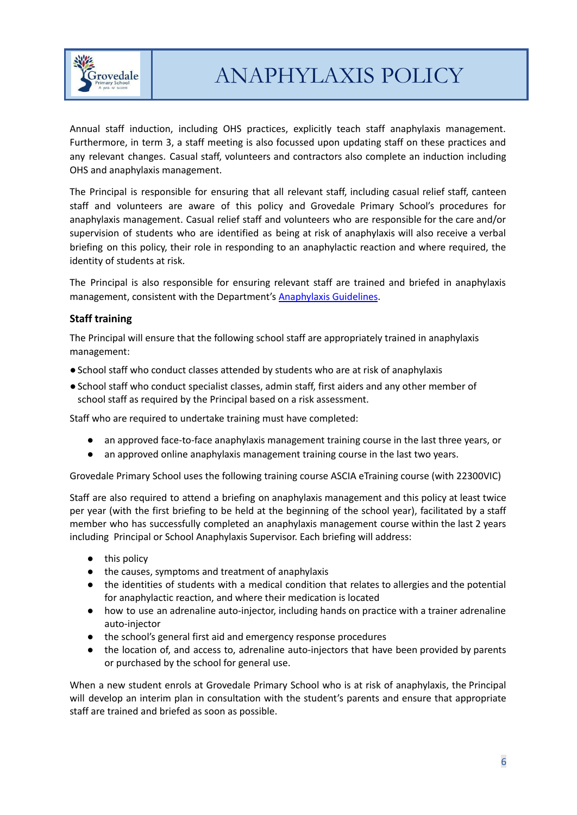

ANAPHYLAXIS POLICY

Annual staff induction, including OHS practices, explicitly teach staff anaphylaxis management. Furthermore, in term 3, a staff meeting is also focussed upon updating staff on these practices and any relevant changes. Casual staff, volunteers and contractors also complete an induction including OHS and anaphylaxis management.

The Principal is responsible for ensuring that all relevant staff, including casual relief staff, canteen staff and volunteers are aware of this policy and Grovedale Primary School's procedures for anaphylaxis management. Casual relief staff and volunteers who are responsible for the care and/or supervision of students who are identified as being at risk of anaphylaxis will also receive a verbal briefing on this policy, their role in responding to an anaphylactic reaction and where required, the identity of students at risk.

The Principal is also responsible for ensuring relevant staff are trained and briefed in anaphylaxis management, consistent with the Department's [Anaphylaxis](https://www2.education.vic.gov.au/pal/anaphylaxis/guidance) Guidelines.

## **Staff training**

The Principal will ensure that the following school staff are appropriately trained in anaphylaxis management:

- ●School staff who conduct classes attended by students who are at risk of anaphylaxis
- ●School staff who conduct specialist classes, admin staff, first aiders and any other member of school staff as required by the Principal based on a risk assessment.

Staff who are required to undertake training must have completed:

- an approved face-to-face anaphylaxis management training course in the last three years, or
- an approved online anaphylaxis management training course in the last two years.

Grovedale Primary School uses the following training course ASCIA eTraining course (with 22300VIC)

Staff are also required to attend a briefing on anaphylaxis management and this policy at least twice per year (with the first briefing to be held at the beginning of the school year), facilitated by a staff member who has successfully completed an anaphylaxis management course within the last 2 years including Principal or School Anaphylaxis Supervisor. Each briefing will address:

- this policy
- the causes, symptoms and treatment of anaphylaxis
- the identities of students with a medical condition that relates to allergies and the potential for anaphylactic reaction, and where their medication is located
- how to use an adrenaline auto-injector, including hands on practice with a trainer adrenaline auto-injector
- the school's general first aid and emergency response procedures
- the location of, and access to, adrenaline auto-injectors that have been provided by parents or purchased by the school for general use.

When a new student enrols at Grovedale Primary School who is at risk of anaphylaxis, the Principal will develop an interim plan in consultation with the student's parents and ensure that appropriate staff are trained and briefed as soon as possible.